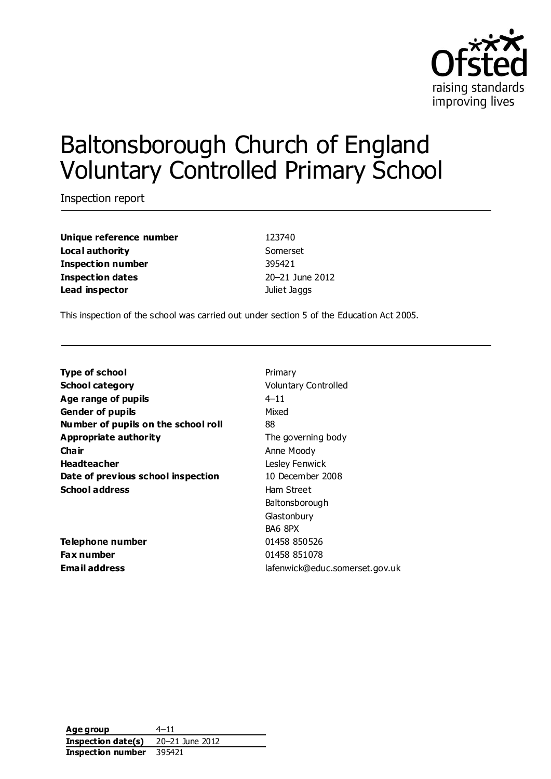

# Baltonsborough Church of England Voluntary Controlled Primary School

Inspection report

**Unique reference number** 123740 **Local authority** Somerset **Inspection number** 395421 **Inspection dates** 20–21 June 2012 **Lead inspector and all all and inspector** *Juliet Jaggs* 

This inspection of the school was carried out under section 5 of the Education Act 2005.

| <b>Type of school</b>               | Prima    |
|-------------------------------------|----------|
| <b>School category</b>              | Volun    |
| Age range of pupils                 | $4 - 11$ |
| <b>Gender of pupils</b>             | Mixed    |
| Number of pupils on the school roll | 88       |
| <b>Appropriate authority</b>        | The g    |
| Cha ir                              | Anne     |
| <b>Headteacher</b>                  | Lesley   |
| Date of previous school inspection  | 10 De    |
| School address                      | Ham 9    |
|                                     | Doltor   |

**Telephone number** 01458 850526 **Fax number** 01458 851078

**Primary Voluntary Controlled** The governing body **Chair** Anne Moody **Lesley Fenwick** 10 December 2008 **Ham Street** Baltonsborough **Glastonbury** BA6 8PX **Email address** lafenwick@educ.somerset.gov.uk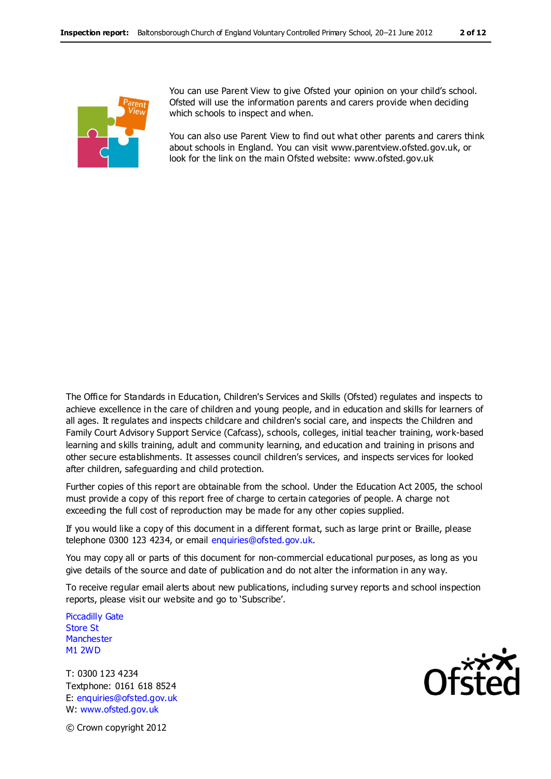

You can use Parent View to give Ofsted your opinion on your child's school. Ofsted will use the information parents and carers provide when deciding which schools to inspect and when.

You can also use Parent View to find out what other parents and carers think about schools in England. You can visit www.parentview.ofsted.gov.uk, or look for the link on the main Ofsted website: www.ofsted.gov.uk

The Office for Standards in Education, Children's Services and Skills (Ofsted) regulates and inspects to achieve excellence in the care of children and young people, and in education and skills for learners of all ages. It regulates and inspects childcare and children's social care, and inspects the Children and Family Court Advisory Support Service (Cafcass), schools, colleges, initial teacher training, work-based learning and skills training, adult and community learning, and education and training in prisons and other secure establishments. It assesses council children's services, and inspects services for looked after children, safeguarding and child protection.

Further copies of this report are obtainable from the school. Under the Education Act 2005, the school must provide a copy of this report free of charge to certain categories of people. A charge not exceeding the full cost of reproduction may be made for any other copies supplied.

If you would like a copy of this document in a different format, such as large print or Braille, please telephone 0300 123 4234, or email enquiries@ofsted.gov.uk.

You may copy all or parts of this document for non-commercial educational purposes, as long as you give details of the source and date of publication and do not alter the information in any way.

To receive regular email alerts about new publications, including survey reports and school inspection reports, please visit our website and go to 'Subscribe'.

Piccadilly Gate Store St **Manchester** M1 2WD

T: 0300 123 4234 Textphone: 0161 618 8524 E: enquiries@ofsted.gov.uk W: www.ofsted.gov.uk



© Crown copyright 2012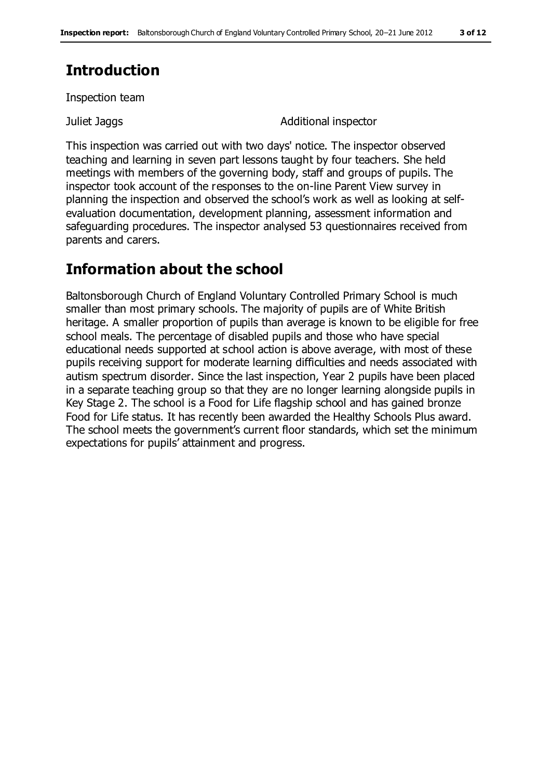# **Introduction**

Inspection team

Juliet Jaggs **Additional inspector** 

This inspection was carried out with two days' notice. The inspector observed teaching and learning in seven part lessons taught by four teachers. She held meetings with members of the governing body, staff and groups of pupils. The inspector took account of the responses to the on-line Parent View survey in planning the inspection and observed the school's work as well as looking at selfevaluation documentation, development planning, assessment information and safeguarding procedures. The inspector analysed 53 questionnaires received from parents and carers.

## **Information about the school**

Baltonsborough Church of England Voluntary Controlled Primary School is much smaller than most primary schools. The majority of pupils are of White British heritage. A smaller proportion of pupils than average is known to be eligible for free school meals. The percentage of disabled pupils and those who have special educational needs supported at school action is above average, with most of these pupils receiving support for moderate learning difficulties and needs associated with autism spectrum disorder. Since the last inspection, Year 2 pupils have been placed in a separate teaching group so that they are no longer learning alongside pupils in Key Stage 2. The school is a Food for Life flagship school and has gained bronze Food for Life status. It has recently been awarded the Healthy Schools Plus award. The school meets the government's current floor standards, which set the minimum expectations for pupils' attainment and progress.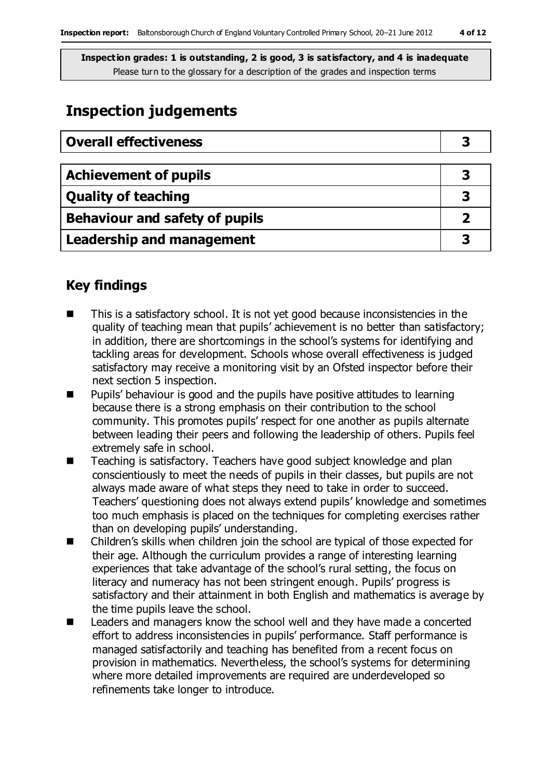# **Inspection judgements**

| <b>Overall effectiveness</b>     | 3 |
|----------------------------------|---|
|                                  |   |
| <b>Achievement of pupils</b>     | 3 |
| <b>Quality of teaching</b>       | 3 |
| Behaviour and safety of pupils   |   |
| <b>Leadership and management</b> |   |

### **Key findings**

- This is a satisfactory school. It is not yet good because inconsistencies in the quality of teaching mean that pupils' achievement is no better than satisfactory; in addition, there are shortcomings in the school's systems for identifying and tackling areas for development. Schools whose overall effectiveness is judged satisfactory may receive a monitoring visit by an Ofsted inspector before their next section 5 inspection.
- **Pupils'** behaviour is good and the pupils have positive attitudes to learning because there is a strong emphasis on their contribution to the school community. This promotes pupils' respect for one another as pupils alternate between leading their peers and following the leadership of others. Pupils feel extremely safe in school.
- Teaching is satisfactory. Teachers have good subject knowledge and plan conscientiously to meet the needs of pupils in their classes, but pupils are not always made aware of what steps they need to take in order to succeed. Teachers' questioning does not always extend pupils' knowledge and sometimes too much emphasis is placed on the techniques for completing exercises rather than on developing pupils' understanding.
- Children's skills when children join the school are typical of those expected for their age. Although the curriculum provides a range of interesting learning experiences that take advantage of the school's rural setting, the focus on literacy and numeracy has not been stringent enough. Pupils' progress is satisfactory and their attainment in both English and mathematics is average by the time pupils leave the school.
- Leaders and managers know the school well and they have made a concerted effort to address inconsistencies in pupils' performance. Staff performance is managed satisfactorily and teaching has benefited from a recent focus on provision in mathematics. Nevertheless, the school's systems for determining where more detailed improvements are required are underdeveloped so refinements take longer to introduce.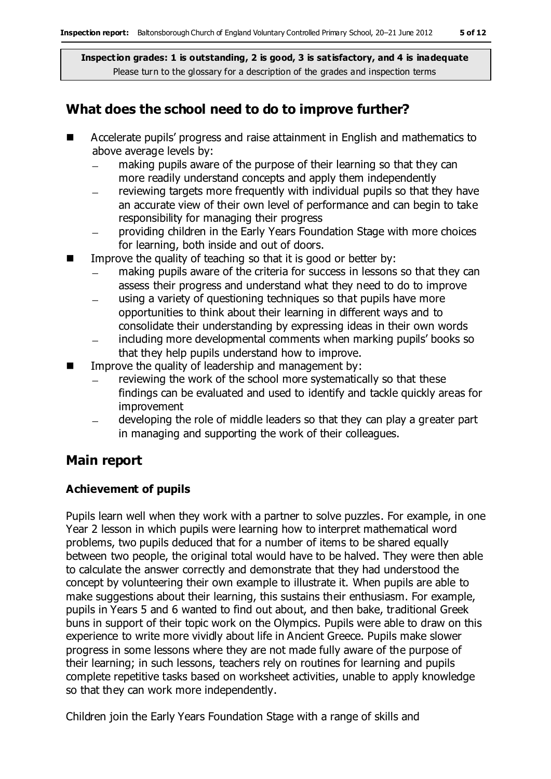### **What does the school need to do to improve further?**

- Accelerate pupils' progress and raise attainment in English and mathematics to above average levels by:
	- making pupils aware of the purpose of their learning so that they can  $\equiv$ more readily understand concepts and apply them independently
	- reviewing targets more frequently with individual pupils so that they have an accurate view of their own level of performance and can begin to take responsibility for managing their progress
	- providing children in the Early Years Foundation Stage with more choices for learning, both inside and out of doors.
- Improve the quality of teaching so that it is good or better by:
	- making pupils aware of the criteria for success in lessons so that they can  $\equiv$ assess their progress and understand what they need to do to improve
	- using a variety of questioning techniques so that pupils have more opportunities to think about their learning in different ways and to consolidate their understanding by expressing ideas in their own words
	- including more developmental comments when marking pupils' books so  $\equiv$ that they help pupils understand how to improve.
- **IMPROVE THE GUALITY OF LEADER SHOW THE MANGEMENT CONCRETE INC.** 
	- reviewing the work of the school more systematically so that these findings can be evaluated and used to identify and tackle quickly areas for improvement
	- developing the role of middle leaders so that they can play a greater part in managing and supporting the work of their colleagues.

### **Main report**

#### **Achievement of pupils**

Pupils learn well when they work with a partner to solve puzzles. For example, in one Year 2 lesson in which pupils were learning how to interpret mathematical word problems, two pupils deduced that for a number of items to be shared equally between two people, the original total would have to be halved. They were then able to calculate the answer correctly and demonstrate that they had understood the concept by volunteering their own example to illustrate it. When pupils are able to make suggestions about their learning, this sustains their enthusiasm. For example, pupils in Years 5 and 6 wanted to find out about, and then bake, traditional Greek buns in support of their topic work on the Olympics. Pupils were able to draw on this experience to write more vividly about life in Ancient Greece. Pupils make slower progress in some lessons where they are not made fully aware of the purpose of their learning; in such lessons, teachers rely on routines for learning and pupils complete repetitive tasks based on worksheet activities, unable to apply knowledge so that they can work more independently.

Children join the Early Years Foundation Stage with a range of skills and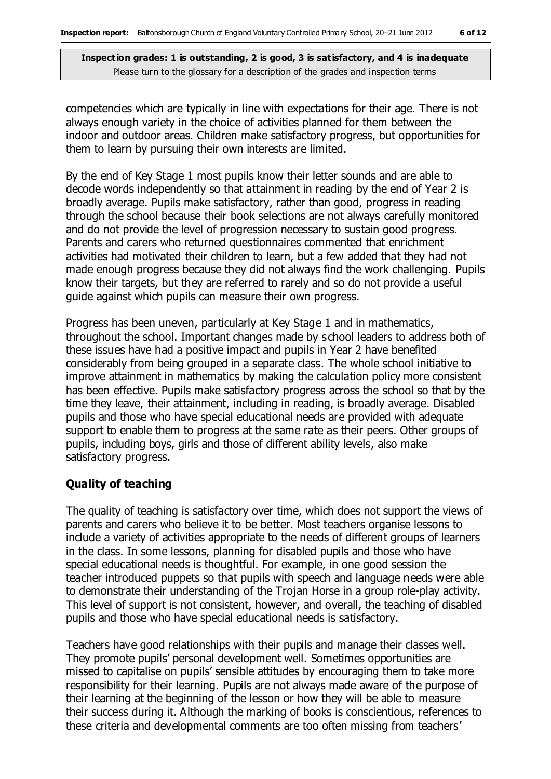competencies which are typically in line with expectations for their age. There is not always enough variety in the choice of activities planned for them between the indoor and outdoor areas. Children make satisfactory progress, but opportunities for them to learn by pursuing their own interests are limited.

By the end of Key Stage 1 most pupils know their letter sounds and are able to decode words independently so that attainment in reading by the end of Year 2 is broadly average. Pupils make satisfactory, rather than good, progress in reading through the school because their book selections are not always carefully monitored and do not provide the level of progression necessary to sustain good progress. Parents and carers who returned questionnaires commented that enrichment activities had motivated their children to learn, but a few added that they had not made enough progress because they did not always find the work challenging. Pupils know their targets, but they are referred to rarely and so do not provide a useful guide against which pupils can measure their own progress.

Progress has been uneven, particularly at Key Stage 1 and in mathematics, throughout the school. Important changes made by school leaders to address both of these issues have had a positive impact and pupils in Year 2 have benefited considerably from being grouped in a separate class. The whole school initiative to improve attainment in mathematics by making the calculation policy more consistent has been effective. Pupils make satisfactory progress across the school so that by the time they leave, their attainment, including in reading, is broadly average. Disabled pupils and those who have special educational needs are provided with adequate support to enable them to progress at the same rate as their peers. Other groups of pupils, including boys, girls and those of different ability levels, also make satisfactory progress.

#### **Quality of teaching**

The quality of teaching is satisfactory over time, which does not support the views of parents and carers who believe it to be better. Most teachers organise lessons to include a variety of activities appropriate to the needs of different groups of learners in the class. In some lessons, planning for disabled pupils and those who have special educational needs is thoughtful. For example, in one good session the teacher introduced puppets so that pupils with speech and language needs were able to demonstrate their understanding of the Trojan Horse in a group role-play activity. This level of support is not consistent, however, and overall, the teaching of disabled pupils and those who have special educational needs is satisfactory.

Teachers have good relationships with their pupils and manage their classes well. They promote pupils' personal development well. Sometimes opportunities are missed to capitalise on pupils' sensible attitudes by encouraging them to take more responsibility for their learning. Pupils are not always made aware of the purpose of their learning at the beginning of the lesson or how they will be able to measure their success during it. Although the marking of books is conscientious, references to these criteria and developmental comments are too often missing from teachers'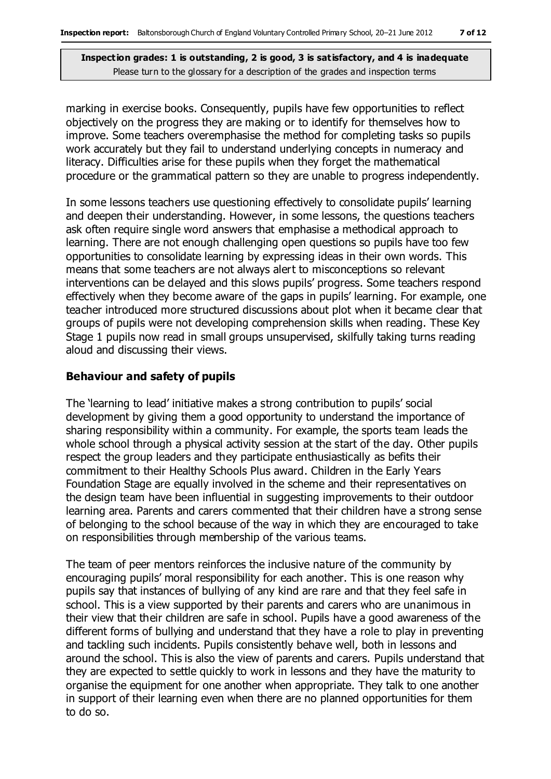marking in exercise books. Consequently, pupils have few opportunities to reflect objectively on the progress they are making or to identify for themselves how to improve. Some teachers overemphasise the method for completing tasks so pupils work accurately but they fail to understand underlying concepts in numeracy and literacy. Difficulties arise for these pupils when they forget the mathematical procedure or the grammatical pattern so they are unable to progress independently.

In some lessons teachers use questioning effectively to consolidate pupils' learning and deepen their understanding. However, in some lessons, the questions teachers ask often require single word answers that emphasise a methodical approach to learning. There are not enough challenging open questions so pupils have too few opportunities to consolidate learning by expressing ideas in their own words. This means that some teachers are not always alert to misconceptions so relevant interventions can be delayed and this slows pupils' progress. Some teachers respond effectively when they become aware of the gaps in pupils' learning. For example, one teacher introduced more structured discussions about plot when it became clear that groups of pupils were not developing comprehension skills when reading. These Key Stage 1 pupils now read in small groups unsupervised, skilfully taking turns reading aloud and discussing their views.

#### **Behaviour and safety of pupils**

The 'learning to lead' initiative makes a strong contribution to pupils' social development by giving them a good opportunity to understand the importance of sharing responsibility within a community. For example, the sports team leads the whole school through a physical activity session at the start of the day. Other pupils respect the group leaders and they participate enthusiastically as befits their commitment to their Healthy Schools Plus award. Children in the Early Years Foundation Stage are equally involved in the scheme and their representatives on the design team have been influential in suggesting improvements to their outdoor learning area. Parents and carers commented that their children have a strong sense of belonging to the school because of the way in which they are encouraged to take on responsibilities through membership of the various teams.

The team of peer mentors reinforces the inclusive nature of the community by encouraging pupils' moral responsibility for each another. This is one reason why pupils say that instances of bullying of any kind are rare and that they feel safe in school. This is a view supported by their parents and carers who are unanimous in their view that their children are safe in school. Pupils have a good awareness of the different forms of bullying and understand that they have a role to play in preventing and tackling such incidents. Pupils consistently behave well, both in lessons and around the school. This is also the view of parents and carers. Pupils understand that they are expected to settle quickly to work in lessons and they have the maturity to organise the equipment for one another when appropriate. They talk to one another in support of their learning even when there are no planned opportunities for them to do so.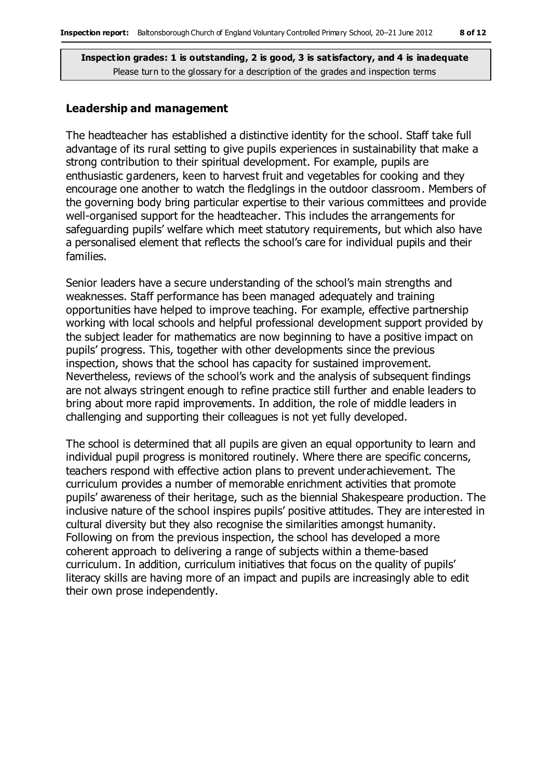#### **Leadership and management**

The headteacher has established a distinctive identity for the school. Staff take full advantage of its rural setting to give pupils experiences in sustainability that make a strong contribution to their spiritual development. For example, pupils are enthusiastic gardeners, keen to harvest fruit and vegetables for cooking and they encourage one another to watch the fledglings in the outdoor classroom. Members of the governing body bring particular expertise to their various committees and provide well-organised support for the headteacher. This includes the arrangements for safeguarding pupils' welfare which meet statutory requirements, but which also have a personalised element that reflects the school's care for individual pupils and their families.

Senior leaders have a secure understanding of the school's main strengths and weaknesses. Staff performance has been managed adequately and training opportunities have helped to improve teaching. For example, effective partnership working with local schools and helpful professional development support provided by the subject leader for mathematics are now beginning to have a positive impact on pupils' progress. This, together with other developments since the previous inspection, shows that the school has capacity for sustained improvement. Nevertheless, reviews of the school's work and the analysis of subsequent findings are not always stringent enough to refine practice still further and enable leaders to bring about more rapid improvements. In addition, the role of middle leaders in challenging and supporting their colleagues is not yet fully developed.

The school is determined that all pupils are given an equal opportunity to learn and individual pupil progress is monitored routinely. Where there are specific concerns, teachers respond with effective action plans to prevent underachievement. The curriculum provides a number of memorable enrichment activities that promote pupils' awareness of their heritage, such as the biennial Shakespeare production. The inclusive nature of the school inspires pupils' positive attitudes. They are interested in cultural diversity but they also recognise the similarities amongst humanity. Following on from the previous inspection, the school has developed a more coherent approach to delivering a range of subjects within a theme-based curriculum. In addition, curriculum initiatives that focus on the quality of pupils' literacy skills are having more of an impact and pupils are increasingly able to edit their own prose independently.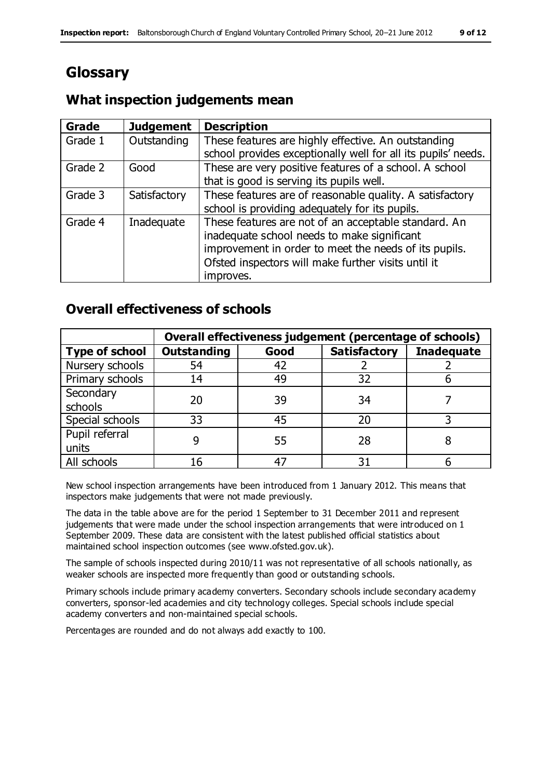# **Glossary**

### **What inspection judgements mean**

| Grade   | <b>Judgement</b> | <b>Description</b>                                            |
|---------|------------------|---------------------------------------------------------------|
| Grade 1 | Outstanding      | These features are highly effective. An outstanding           |
|         |                  | school provides exceptionally well for all its pupils' needs. |
| Grade 2 | Good             | These are very positive features of a school. A school        |
|         |                  | that is good is serving its pupils well.                      |
| Grade 3 | Satisfactory     | These features are of reasonable quality. A satisfactory      |
|         |                  | school is providing adequately for its pupils.                |
| Grade 4 | Inadequate       | These features are not of an acceptable standard. An          |
|         |                  | inadequate school needs to make significant                   |
|         |                  | improvement in order to meet the needs of its pupils.         |
|         |                  | Ofsted inspectors will make further visits until it           |
|         |                  | improves.                                                     |

### **Overall effectiveness of schools**

|                       | Overall effectiveness judgement (percentage of schools) |      |                     |                   |
|-----------------------|---------------------------------------------------------|------|---------------------|-------------------|
| <b>Type of school</b> | <b>Outstanding</b>                                      | Good | <b>Satisfactory</b> | <b>Inadequate</b> |
| Nursery schools       | 54                                                      | 42   |                     |                   |
| Primary schools       | 14                                                      | 49   | 32                  |                   |
| Secondary             | 20                                                      | 39   | 34                  |                   |
| schools               |                                                         |      |                     |                   |
| Special schools       | 33                                                      | 45   | 20                  |                   |
| Pupil referral        |                                                         | 55   | 28                  |                   |
| units                 |                                                         |      |                     |                   |
| All schools           | 16                                                      | 47   | 31                  |                   |

New school inspection arrangements have been introduced from 1 January 2012. This means that inspectors make judgements that were not made previously.

The data in the table above are for the period 1 September to 31 December 2011 and represent judgements that were made under the school inspection arrangements that were introduced on 1 September 2009. These data are consistent with the latest published official statistics about maintained school inspection outcomes (see www.ofsted.gov.uk).

The sample of schools inspected during 2010/11 was not representative of all schools nationally, as weaker schools are inspected more frequently than good or outstanding schools.

Primary schools include primary academy converters. Secondary schools include secondary academy converters, sponsor-led academies and city technology colleges. Special schools include special academy converters and non-maintained special schools.

Percentages are rounded and do not always add exactly to 100.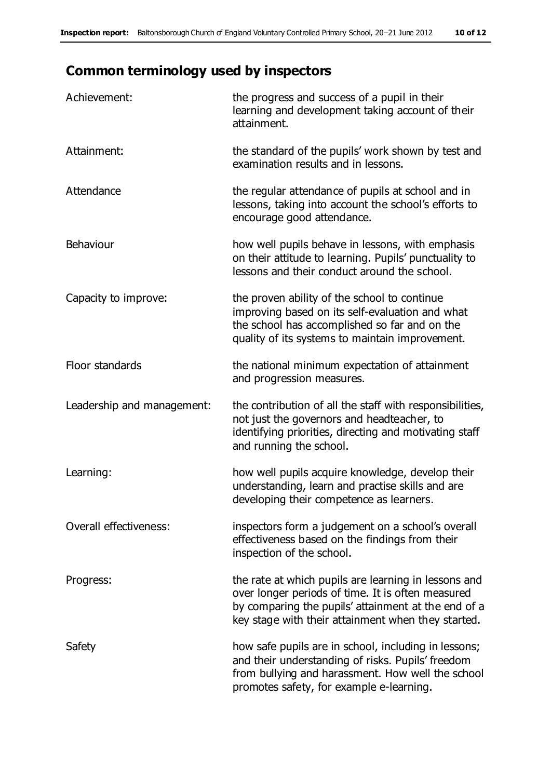# **Common terminology used by inspectors**

| Achievement:               | the progress and success of a pupil in their<br>learning and development taking account of their<br>attainment.                                                                                                        |
|----------------------------|------------------------------------------------------------------------------------------------------------------------------------------------------------------------------------------------------------------------|
| Attainment:                | the standard of the pupils' work shown by test and<br>examination results and in lessons.                                                                                                                              |
| Attendance                 | the regular attendance of pupils at school and in<br>lessons, taking into account the school's efforts to<br>encourage good attendance.                                                                                |
| Behaviour                  | how well pupils behave in lessons, with emphasis<br>on their attitude to learning. Pupils' punctuality to<br>lessons and their conduct around the school.                                                              |
| Capacity to improve:       | the proven ability of the school to continue<br>improving based on its self-evaluation and what<br>the school has accomplished so far and on the<br>quality of its systems to maintain improvement.                    |
| Floor standards            | the national minimum expectation of attainment<br>and progression measures.                                                                                                                                            |
| Leadership and management: | the contribution of all the staff with responsibilities,<br>not just the governors and headteacher, to<br>identifying priorities, directing and motivating staff<br>and running the school.                            |
| Learning:                  | how well pupils acquire knowledge, develop their<br>understanding, learn and practise skills and are<br>developing their competence as learners.                                                                       |
| Overall effectiveness:     | inspectors form a judgement on a school's overall<br>effectiveness based on the findings from their<br>inspection of the school.                                                                                       |
| Progress:                  | the rate at which pupils are learning in lessons and<br>over longer periods of time. It is often measured<br>by comparing the pupils' attainment at the end of a<br>key stage with their attainment when they started. |
| Safety                     | how safe pupils are in school, including in lessons;<br>and their understanding of risks. Pupils' freedom<br>from bullying and harassment. How well the school<br>promotes safety, for example e-learning.             |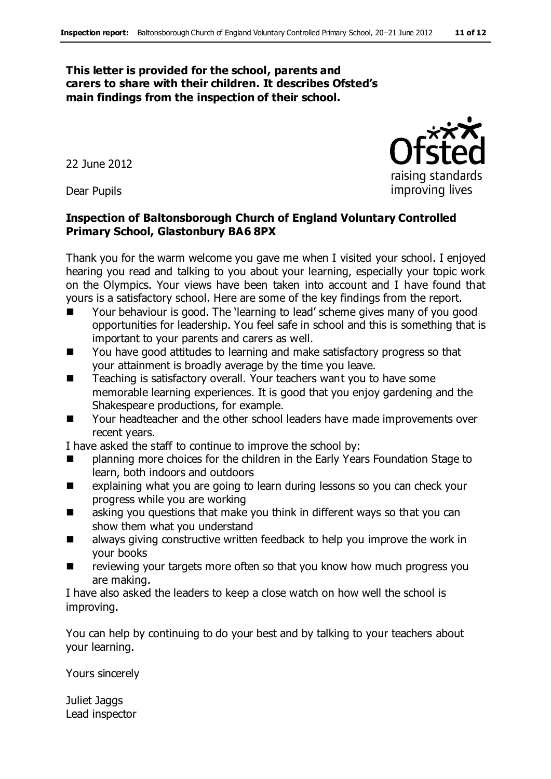#### **This letter is provided for the school, parents and carers to share with their children. It describes Ofsted's main findings from the inspection of their school.**

22 June 2012

Dear Pupils

#### **Inspection of Baltonsborough Church of England Voluntary Controlled Primary School, Glastonbury BA6 8PX**

Thank you for the warm welcome you gave me when I visited your school. I enjoyed hearing you read and talking to you about your learning, especially your topic work on the Olympics. Your views have been taken into account and I have found that yours is a satisfactory school. Here are some of the key findings from the report.

- Your behaviour is good. The 'learning to lead' scheme gives many of you good opportunities for leadership. You feel safe in school and this is something that is important to your parents and carers as well.
- You have good attitudes to learning and make satisfactory progress so that your attainment is broadly average by the time you leave.
- Teaching is satisfactory overall. Your teachers want you to have some memorable learning experiences. It is good that you enjoy gardening and the Shakespeare productions, for example.
- Your headteacher and the other school leaders have made improvements over recent years.

I have asked the staff to continue to improve the school by:

- planning more choices for the children in the Early Years Foundation Stage to learn, both indoors and outdoors
- **EXPLA** explaining what you are going to learn during lessons so you can check your progress while you are working
- asking you questions that make you think in different ways so that you can show them what you understand
- always giving constructive written feedback to help you improve the work in your books
- reviewing your targets more often so that you know how much progress you are making.

I have also asked the leaders to keep a close watch on how well the school is improving.

You can help by continuing to do your best and by talking to your teachers about your learning.

Yours sincerely

Juliet Jaggs Lead inspector